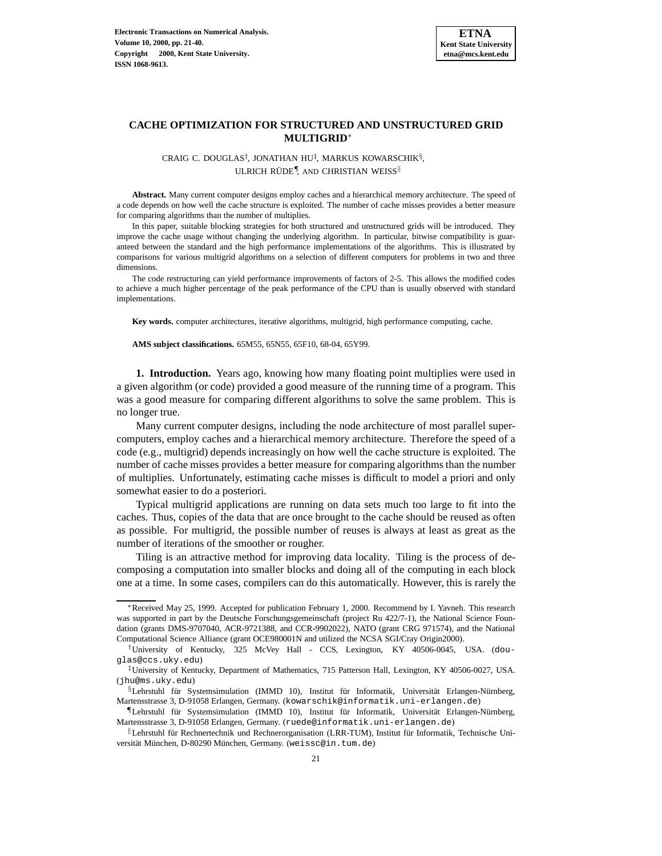

### **CACHE OPTIMIZATION FOR STRUCTURED AND UNSTRUCTURED GRID MULTIGRID**<sup>∗</sup>

CRAIG C. DOUGLAS†, JONATHAN HU‡, MARKUS KOWARSCHIK§, ULRICH RÜDE<sup>¶</sup>, AND CHRISTIAN WEISS<sup>II</sup>

**Abstract.** Many current computer designs employ caches and a hierarchical memory architecture. The speed of a code depends on how well the cache structure is exploited. The number of cache misses provides a better measure for comparing algorithms than the number of multiplies.

In this paper, suitable blocking strategies for both structured and unstructured grids will be introduced. They improve the cache usage without changing the underlying algorithm. In particular, bitwise compatibility is guaranteed between the standard and the high performance implementations of the algorithms. This is illustrated by comparisons for various multigrid algorithms on a selection of different computers for problems in two and three dimensions.

The code restructuring can yield performance improvements of factors of 2-5. This allows the modified codes to achieve a much higher percentage of the peak performance of the CPU than is usually observed with standard implementations.

**Key words.** computer architectures, iterative algorithms, multigrid, high performance computing, cache.

**AMS subject classifications.** 65M55, 65N55, 65F10, 68-04, 65Y99.

**1. Introduction.** Years ago, knowing how many floating point multiplies were used in a given algorithm (or code) provided a good measure of the running time of a program. This was a good measure for comparing different algorithms to solve the same problem. This is no longer true.

Many current computer designs, including the node architecture of most parallel supercomputers, employ caches and a hierarchical memory architecture. Therefore the speed of a code (e.g., multigrid) depends increasingly on how well the cache structure is exploited. The number of cache misses provides a better measure for comparing algorithms than the number of multiplies. Unfortunately, estimating cache misses is difficult to model a priori and only somewhat easier to do a posteriori.

Typical multigrid applications are running on data sets much too large to fit into the caches. Thus, copies of the data that are once brought to the cache should be reused as often as possible. For multigrid, the possible number of reuses is always at least as great as the number of iterations of the smoother or rougher.

Tiling is an attractive method for improving data locality. Tiling is the process of decomposing a computation into smaller blocks and doing all of the computing in each block one at a time. In some cases, compilers can do this automatically. However, this is rarely the

<sup>∗</sup>Received May 25, 1999. Accepted for publication February 1, 2000. Recommend by I. Yavneh. This research was supported in part by the Deutsche Forschungsgemeinschaft (project Ru 422/7-1), the National Science Foundation (grants DMS-9707040, ACR-9721388, and CCR-9902022), NATO (grant CRG 971574), and the National Computational Science Alliance (grant OCE980001N and utilized the NCSA SGI/Cray Origin2000).

<sup>†</sup>University of Kentucky, 325 McVey Hall - CCS, Lexington, KY 40506-0045, USA. (douglas@ccs.uky.edu)

<sup>‡</sup>University of Kentucky, Department of Mathematics, 715 Patterson Hall, Lexington, KY 40506-0027, USA. (jhu@ms.uky.edu)

<sup>§</sup>Lehrstuhl für Systemsimulation (IMMD 10), Institut für Informatik, Universität Erlangen-Nürnberg, Martensstrasse 3, D-91058 Erlangen, Germany. (kowarschik@informatik.uni-erlangen.de)

<sup>¶</sup>Lehrstuhl f¨ur Systemsimulation (IMMD 10), Institut f¨ur Informatik, Universit¨at Erlangen-N¨urnberg, Martensstrasse 3, D-91058 Erlangen, Germany. (ruede@informatik.uni-erlangen.de)

 $\parallel$ Lehrstuhl für Rechnertechnik und Rechnerorganisation (LRR-TUM), Institut für Informatik, Technische Universität München, D-80290 München, Germany. (weissc@in.tum.de)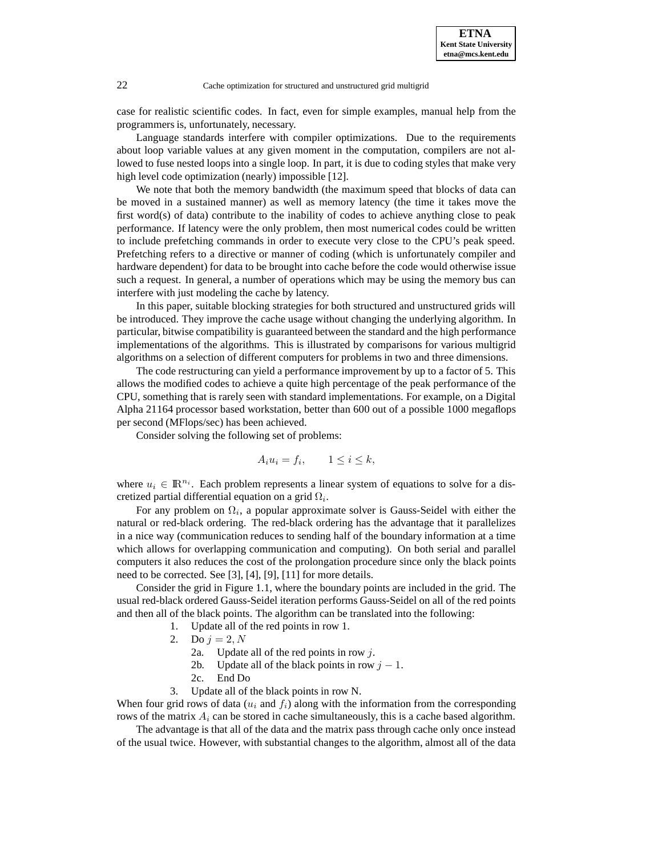case for realistic scientific codes. In fact, even for simple examples, manual help from the programmers is, unfortunately, necessary.

Language standards interfere with compiler optimizations. Due to the requirements about loop variable values at any given moment in the computation, compilers are not allowed to fuse nested loops into a single loop. In part, it is due to coding styles that make very high level code optimization (nearly) impossible [12].

We note that both the memory bandwidth (the maximum speed that blocks of data can be moved in a sustained manner) as well as memory latency (the time it takes move the first word(s) of data) contribute to the inability of codes to achieve anything close to peak performance. If latency were the only problem, then most numerical codes could be written to include prefetching commands in order to execute very close to the CPU's peak speed. Prefetching refers to a directive or manner of coding (which is unfortunately compiler and hardware dependent) for data to be brought into cache before the code would otherwise issue such a request. In general, a number of operations which may be using the memory bus can interfere with just modeling the cache by latency.

In this paper, suitable blocking strategies for both structured and unstructured grids will be introduced. They improve the cache usage without changing the underlying algorithm. In particular, bitwise compatibility is guaranteed between the standard and the high performance implementations of the algorithms. This is illustrated by comparisons for various multigrid algorithms on a selection of different computers for problems in two and three dimensions.

The code restructuring can yield a performance improvement by up to a factor of 5. This allows the modified codes to achieve a quite high percentage of the peak performance of the CPU, something that is rarely seen with standard implementations. For example, on a Digital Alpha 21164 processor based workstation, better than 600 out of a possible 1000 megaflops per second (MFlops/sec) has been achieved.

Consider solving the following set of problems:

$$
A_i u_i = f_i, \qquad 1 \le i \le k,
$$

where  $u_i \in \mathbb{R}^{n_i}$ . Each problem represents a linear system of equations to solve for a discretized partial differential equation on a grid  $\Omega_i$ .

For any problem on  $\Omega_i$ , a popular approximate solver is Gauss-Seidel with either the natural or red-black ordering. The red-black ordering has the advantage that it parallelizes in a nice way (communication reduces to sending half of the boundary information at a time which allows for overlapping communication and computing). On both serial and parallel computers it also reduces the cost of the prolongation procedure since only the black points need to be corrected. See [3], [4], [9], [11] for more details.

Consider the grid in Figure 1.1, where the boundary points are included in the grid. The usual red-black ordered Gauss-Seidel iteration performs Gauss-Seidel on all of the red points and then all of the black points. The algorithm can be translated into the following:

- 1. Update all of the red points in row 1.
- 2. Do  $j = 2, N$ 
	- 2a. Update all of the red points in row  $j$ .
	- 2b. Update all of the black points in row  $j 1$ .
	- 2c. End Do
- 3. Update all of the black points in row N.

When four grid rows of data  $(u_i$  and  $f_i$ ) along with the information from the corresponding rows of the matrix  $A_i$  can be stored in cache simultaneously, this is a cache based algorithm.

The advantage is that all of the data and the matrix pass through cache only once instead of the usual twice. However, with substantial changes to the algorithm, almost all of the data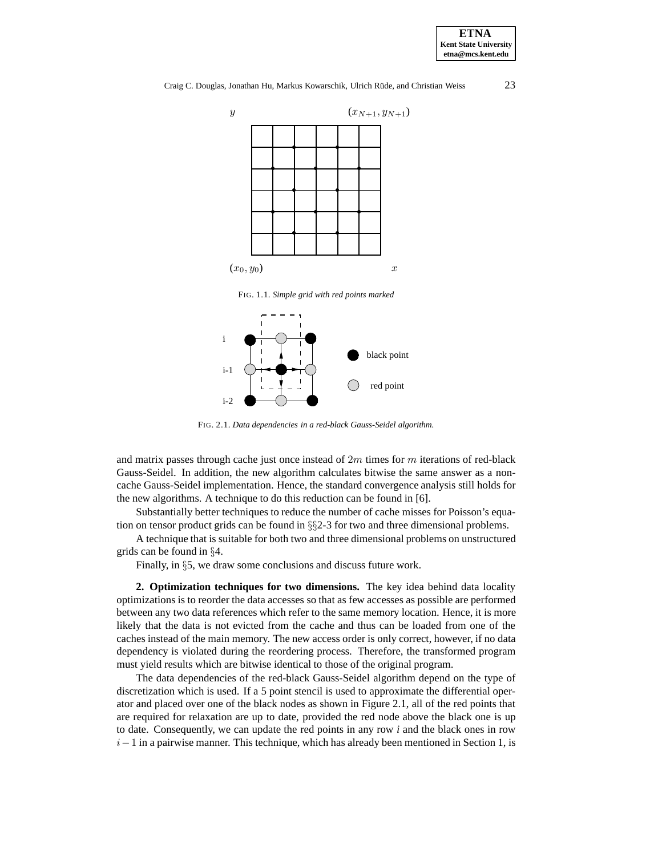Craig C. Douglas, Jonathan Hu, Markus Kowarschik, Ulrich Rüde, and Christian Weiss 23



FIG. 1.1. *Simple grid with red points marked*



FIG. 2.1. *Data dependencies in a red-black Gauss-Seidel algorithm.*

and matrix passes through cache just once instead of  $2m$  times for m iterations of red-black Gauss-Seidel. In addition, the new algorithm calculates bitwise the same answer as a noncache Gauss-Seidel implementation. Hence, the standard convergence analysis still holds for the new algorithms. A technique to do this reduction can be found in [6].

Substantially better techniques to reduce the number of cache misses for Poisson's equation on tensor product grids can be found in  $\S$ §2-3 for two and three dimensional problems.

A technique that is suitable for both two and three dimensional problems on unstructured grids can be found in §4.

Finally, in §5, we draw some conclusions and discuss future work.

**2. Optimization techniques for two dimensions.** The key idea behind data locality optimizations is to reorder the data accesses so that as few accesses as possible are performed between any two data references which refer to the same memory location. Hence, it is more likely that the data is not evicted from the cache and thus can be loaded from one of the caches instead of the main memory. The new access order is only correct, however, if no data dependency is violated during the reordering process. Therefore, the transformed program must yield results which are bitwise identical to those of the original program.

The data dependencies of the red-black Gauss-Seidel algorithm depend on the type of discretization which is used. If a 5 point stencil is used to approximate the differential operator and placed over one of the black nodes as shown in Figure 2.1, all of the red points that are required for relaxation are up to date, provided the red node above the black one is up to date. Consequently, we can update the red points in any row *i* and the black ones in row  $i-1$  in a pairwise manner. This technique, which has already been mentioned in Section 1, is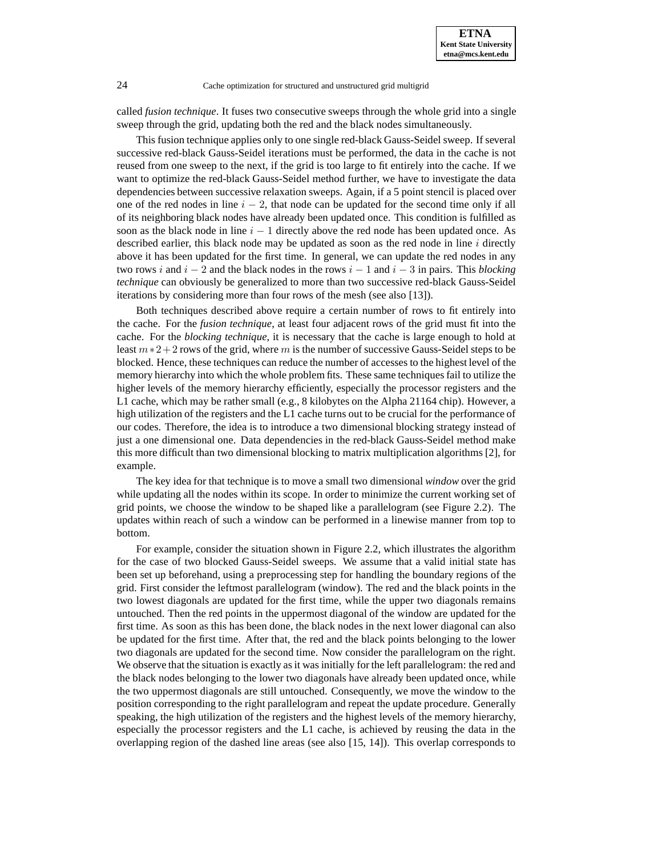called *fusion technique*. It fuses two consecutive sweeps through the whole grid into a single sweep through the grid, updating both the red and the black nodes simultaneously.

This fusion technique applies only to one single red-black Gauss-Seidel sweep. If several successive red-black Gauss-Seidel iterations must be performed, the data in the cache is not reused from one sweep to the next, if the grid is too large to fit entirely into the cache. If we want to optimize the red-black Gauss-Seidel method further, we have to investigate the data dependencies between successive relaxation sweeps. Again, if a 5 point stencil is placed over one of the red nodes in line  $i - 2$ , that node can be updated for the second time only if all of its neighboring black nodes have already been updated once. This condition is fulfilled as soon as the black node in line  $i - 1$  directly above the red node has been updated once. As described earlier, this black node may be updated as soon as the red node in line  $i$  directly above it has been updated for the first time. In general, we can update the red nodes in any two rows i and  $i - 2$  and the black nodes in the rows  $i - 1$  and  $i - 3$  in pairs. This *blocking technique* can obviously be generalized to more than two successive red-black Gauss-Seidel iterations by considering more than four rows of the mesh (see also [13]).

Both techniques described above require a certain number of rows to fit entirely into the cache. For the *fusion technique*, at least four adjacent rows of the grid must fit into the cache. For the *blocking technique*, it is necessary that the cache is large enough to hold at least  $m*2+2$  rows of the grid, where m is the number of successive Gauss-Seidel steps to be blocked. Hence, these techniques can reduce the number of accesses to the highest level of the memory hierarchy into which the whole problem fits. These same techniques fail to utilize the higher levels of the memory hierarchy efficiently, especially the processor registers and the L1 cache, which may be rather small (e.g., 8 kilobytes on the Alpha 21164 chip). However, a high utilization of the registers and the L1 cache turns out to be crucial for the performance of our codes. Therefore, the idea is to introduce a two dimensional blocking strategy instead of just a one dimensional one. Data dependencies in the red-black Gauss-Seidel method make this more difficult than two dimensional blocking to matrix multiplication algorithms [2], for example.

The key idea for that technique is to move a small two dimensional *window* over the grid while updating all the nodes within its scope. In order to minimize the current working set of grid points, we choose the window to be shaped like a parallelogram (see Figure 2.2). The updates within reach of such a window can be performed in a linewise manner from top to bottom.

For example, consider the situation shown in Figure 2.2, which illustrates the algorithm for the case of two blocked Gauss-Seidel sweeps. We assume that a valid initial state has been set up beforehand, using a preprocessing step for handling the boundary regions of the grid. First consider the leftmost parallelogram (window). The red and the black points in the two lowest diagonals are updated for the first time, while the upper two diagonals remains untouched. Then the red points in the uppermost diagonal of the window are updated for the first time. As soon as this has been done, the black nodes in the next lower diagonal can also be updated for the first time. After that, the red and the black points belonging to the lower two diagonals are updated for the second time. Now consider the parallelogram on the right. We observe that the situation is exactly as it was initially for the left parallelogram: the red and the black nodes belonging to the lower two diagonals have already been updated once, while the two uppermost diagonals are still untouched. Consequently, we move the window to the position corresponding to the right parallelogram and repeat the update procedure. Generally speaking, the high utilization of the registers and the highest levels of the memory hierarchy, especially the processor registers and the L1 cache, is achieved by reusing the data in the overlapping region of the dashed line areas (see also [15, 14]). This overlap corresponds to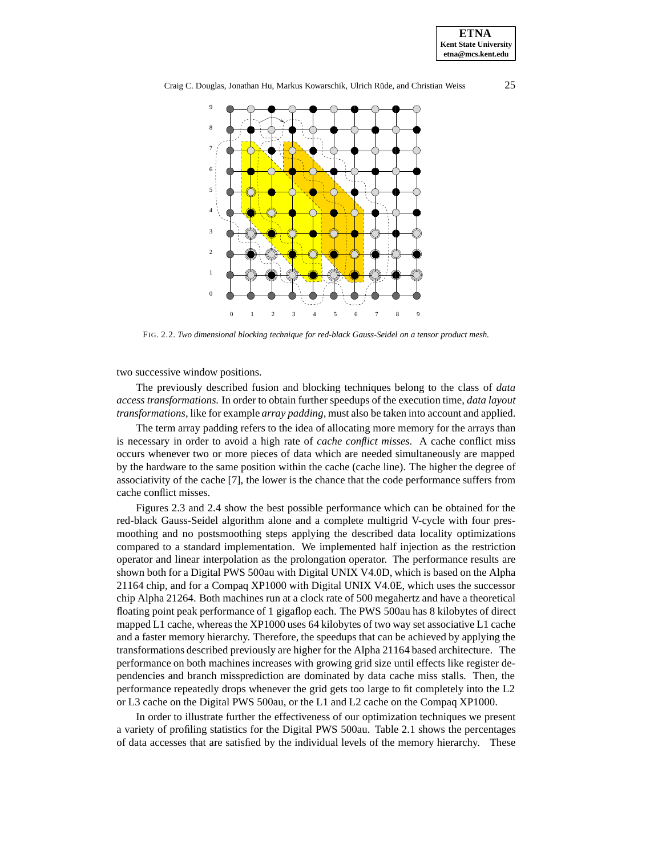

Craig C. Douglas, Jonathan Hu, Markus Kowarschik, Ulrich Rüde, and Christian Weiss 25



FIG. 2.2. *Two dimensional blocking technique for red-black Gauss-Seidel on a tensor product mesh.*

two successive window positions.

The previously described fusion and blocking techniques belong to the class of *data access transformations*. In order to obtain further speedups of the execution time, *data layout transformations*, like for example *array padding*, must also be taken into account and applied.

The term array padding refers to the idea of allocating more memory for the arrays than is necessary in order to avoid a high rate of *cache conflict misses*. A cache conflict miss occurs whenever two or more pieces of data which are needed simultaneously are mapped by the hardware to the same position within the cache (cache line). The higher the degree of associativity of the cache [7], the lower is the chance that the code performance suffers from cache conflict misses.

Figures 2.3 and 2.4 show the best possible performance which can be obtained for the red-black Gauss-Seidel algorithm alone and a complete multigrid V-cycle with four presmoothing and no postsmoothing steps applying the described data locality optimizations compared to a standard implementation. We implemented half injection as the restriction operator and linear interpolation as the prolongation operator. The performance results are shown both for a Digital PWS 500au with Digital UNIX V4.0D, which is based on the Alpha 21164 chip, and for a Compaq XP1000 with Digital UNIX V4.0E, which uses the successor chip Alpha 21264. Both machines run at a clock rate of 500 megahertz and have a theoretical floating point peak performance of 1 gigaflop each. The PWS 500au has 8 kilobytes of direct mapped L1 cache, whereas the XP1000 uses 64 kilobytes of two way set associative L1 cache and a faster memory hierarchy. Therefore, the speedups that can be achieved by applying the transformations described previously are higher for the Alpha 21164 based architecture. The performance on both machines increases with growing grid size until effects like register dependencies and branch missprediction are dominated by data cache miss stalls. Then, the performance repeatedly drops whenever the grid gets too large to fit completely into the L2 or L3 cache on the Digital PWS 500au, or the L1 and L2 cache on the Compaq XP1000.

In order to illustrate further the effectiveness of our optimization techniques we present a variety of profiling statistics for the Digital PWS 500au. Table 2.1 shows the percentages of data accesses that are satisfied by the individual levels of the memory hierarchy. These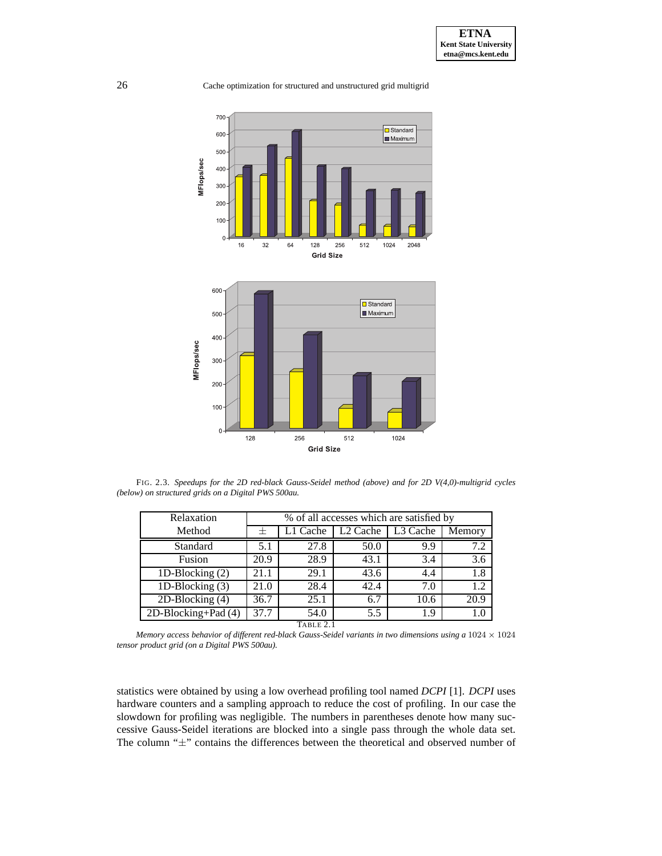



FIG. 2.3. *Speedups for the 2D red-black Gauss-Seidel method (above) and for 2D V(4,0)-multigrid cycles (below) on structured grids on a Digital PWS 500au.*

| Relaxation           | % of all accesses which are satisfied by |          |                      |          |        |  |
|----------------------|------------------------------------------|----------|----------------------|----------|--------|--|
| Method               |                                          | L1 Cache | L <sub>2</sub> Cache | L3 Cache | Memory |  |
| Standard             | 5.1                                      | 27.8     | 50.0                 | 9.9      | 7.2    |  |
| Fusion               | 20.9                                     | 28.9     | 43.1                 | 3.4      | 3.6    |  |
| 1D-Blocking $(2)$    | 21.1                                     | 29.1     | 43.6                 | 4.4      | 1.8    |  |
| 1D-Blocking $(3)$    | 21.0                                     | 28.4     | 42.4                 | 7.0      | 1.2    |  |
| $2D-Blocking(4)$     | 36.7                                     | 25.1     | 6.7                  | 10.6     | 20.9   |  |
| $2D-Blocking+Pad(4)$ | 37.7                                     | 54.0     | 5.5                  | 1.9      | 1.0    |  |
| TABLE 2.1            |                                          |          |                      |          |        |  |

*Memory access behavior of different red-black Gauss-Seidel variants in two dimensions using a* 1024 × 1024 *tensor product grid (on a Digital PWS 500au).*

statistics were obtained by using a low overhead profiling tool named *DCPI* [1]. *DCPI* uses hardware counters and a sampling approach to reduce the cost of profiling. In our case the slowdown for profiling was negligible. The numbers in parentheses denote how many successive Gauss-Seidel iterations are blocked into a single pass through the whole data set. The column "±" contains the differences between the theoretical and observed number of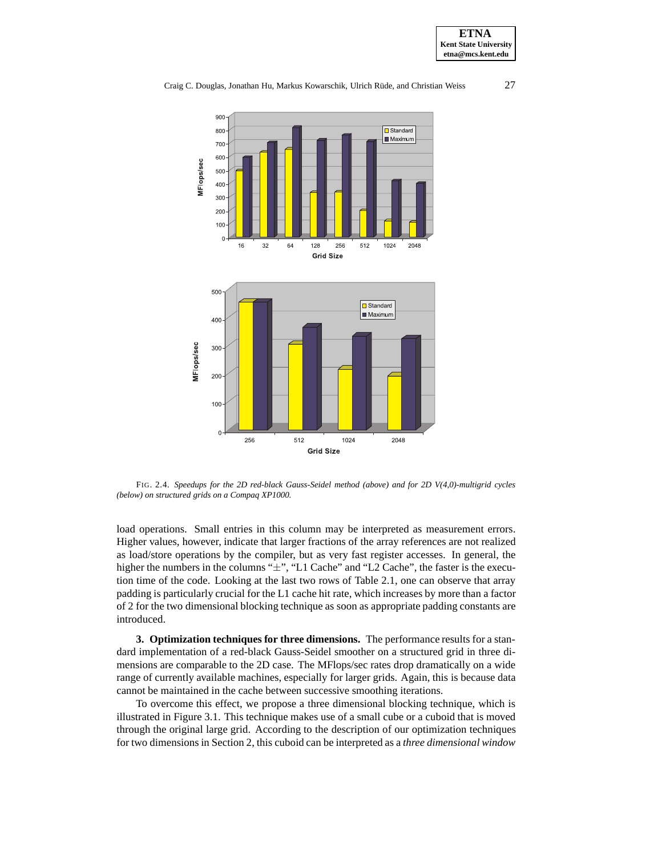Craig C. Douglas, Jonathan Hu, Markus Kowarschik, Ulrich Rüde, and Christian Weiss 27



FIG. 2.4. *Speedups for the 2D red-black Gauss-Seidel method (above) and for 2D V(4,0)-multigrid cycles (below) on structured grids on a Compaq XP1000.*

load operations. Small entries in this column may be interpreted as measurement errors. Higher values, however, indicate that larger fractions of the array references are not realized as load/store operations by the compiler, but as very fast register accesses. In general, the higher the numbers in the columns " $\pm$ ", "L1 Cache" and "L2 Cache", the faster is the execution time of the code. Looking at the last two rows of Table 2.1, one can observe that array padding is particularly crucial for the L1 cache hit rate, which increases by more than a factor of 2 for the two dimensional blocking technique as soon as appropriate padding constants are introduced.

**3. Optimization techniques for three dimensions.** The performance results for a standard implementation of a red-black Gauss-Seidel smoother on a structured grid in three dimensions are comparable to the 2D case. The MFlops/sec rates drop dramatically on a wide range of currently available machines, especially for larger grids. Again, this is because data cannot be maintained in the cache between successive smoothing iterations.

To overcome this effect, we propose a three dimensional blocking technique, which is illustrated in Figure 3.1. This technique makes use of a small cube or a cuboid that is moved through the original large grid. According to the description of our optimization techniques for two dimensions in Section 2, this cuboid can be interpreted as a *three dimensional window*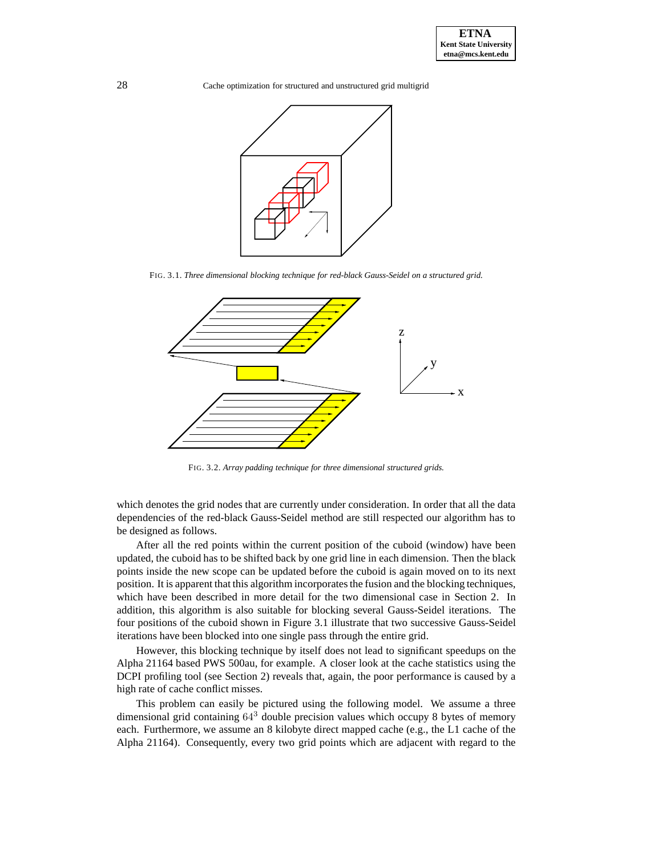

FIG. 3.1. *Three dimensional blocking technique for red-black Gauss-Seidel on a structured grid.*



FIG. 3.2. *Array padding technique for three dimensional structured grids.*

which denotes the grid nodes that are currently under consideration. In order that all the data dependencies of the red-black Gauss-Seidel method are still respected our algorithm has to be designed as follows.

After all the red points within the current position of the cuboid (window) have been updated, the cuboid has to be shifted back by one grid line in each dimension. Then the black points inside the new scope can be updated before the cuboid is again moved on to its next position. It is apparent that this algorithm incorporates the fusion and the blocking techniques, which have been described in more detail for the two dimensional case in Section 2. In addition, this algorithm is also suitable for blocking several Gauss-Seidel iterations. The four positions of the cuboid shown in Figure 3.1 illustrate that two successive Gauss-Seidel iterations have been blocked into one single pass through the entire grid.

However, this blocking technique by itself does not lead to significant speedups on the Alpha 21164 based PWS 500au, for example. A closer look at the cache statistics using the DCPI profiling tool (see Section 2) reveals that, again, the poor performance is caused by a high rate of cache conflict misses.

This problem can easily be pictured using the following model. We assume a three dimensional grid containing 64<sup>3</sup> double precision values which occupy 8 bytes of memory each. Furthermore, we assume an 8 kilobyte direct mapped cache (e.g., the L1 cache of the Alpha 21164). Consequently, every two grid points which are adjacent with regard to the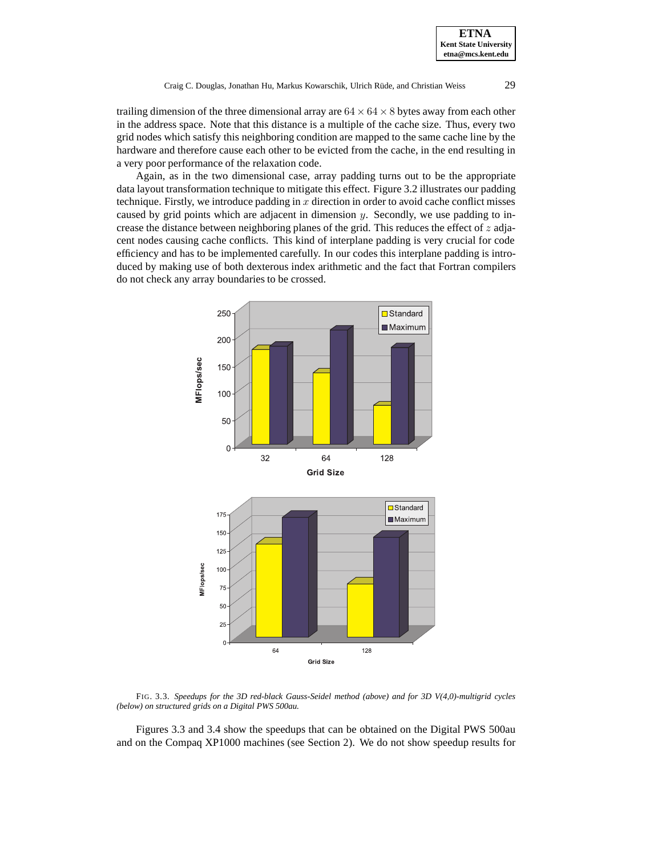trailing dimension of the three dimensional array are  $64 \times 64 \times 8$  bytes away from each other in the address space. Note that this distance is a multiple of the cache size. Thus, every two grid nodes which satisfy this neighboring condition are mapped to the same cache line by the hardware and therefore cause each other to be evicted from the cache, in the end resulting in a very poor performance of the relaxation code.

Again, as in the two dimensional case, array padding turns out to be the appropriate data layout transformation technique to mitigate this effect. Figure 3.2 illustrates our padding technique. Firstly, we introduce padding in  $x$  direction in order to avoid cache conflict misses caused by grid points which are adjacent in dimension  $y$ . Secondly, we use padding to increase the distance between neighboring planes of the grid. This reduces the effect of  $z$  adjacent nodes causing cache conflicts. This kind of interplane padding is very crucial for code efficiency and has to be implemented carefully. In our codes this interplane padding is introduced by making use of both dexterous index arithmetic and the fact that Fortran compilers do not check any array boundaries to be crossed.



FIG. 3.3. *Speedups for the 3D red-black Gauss-Seidel method (above) and for 3D V(4,0)-multigrid cycles (below) on structured grids on a Digital PWS 500au.*

Figures 3.3 and 3.4 show the speedups that can be obtained on the Digital PWS 500au and on the Compaq XP1000 machines (see Section 2). We do not show speedup results for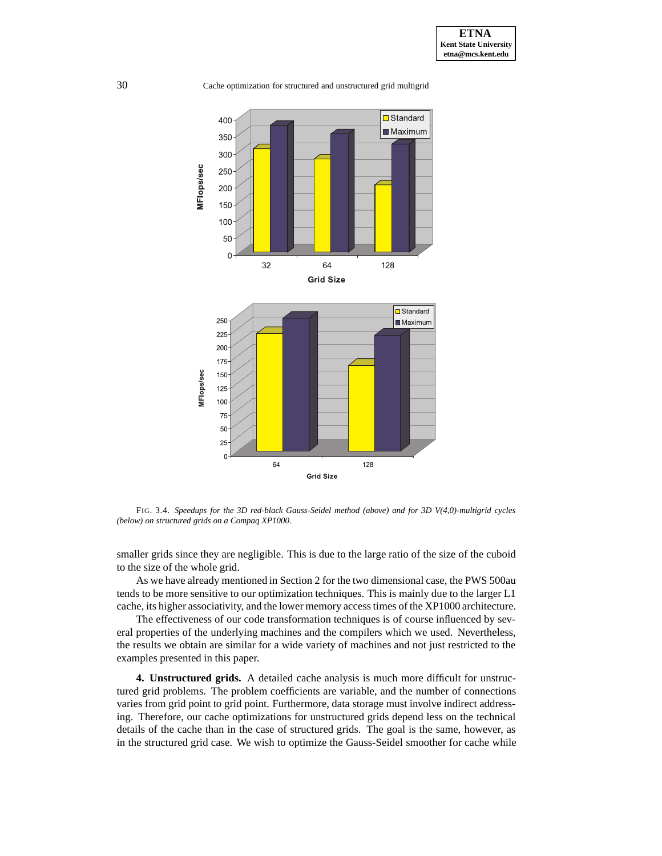

FIG. 3.4. *Speedups for the 3D red-black Gauss-Seidel method (above) and for 3D V(4,0)-multigrid cycles (below) on structured grids on a Compaq XP1000.*

smaller grids since they are negligible. This is due to the large ratio of the size of the cuboid to the size of the whole grid.

As we have already mentioned in Section 2 for the two dimensional case, the PWS 500au tends to be more sensitive to our optimization techniques. This is mainly due to the larger L1 cache, its higher associativity, and the lower memory access times of the XP1000 architecture.

The effectiveness of our code transformation techniques is of course influenced by several properties of the underlying machines and the compilers which we used. Nevertheless, the results we obtain are similar for a wide variety of machines and not just restricted to the examples presented in this paper.

**4. Unstructured grids.** A detailed cache analysis is much more difficult for unstructured grid problems. The problem coefficients are variable, and the number of connections varies from grid point to grid point. Furthermore, data storage must involve indirect addressing. Therefore, our cache optimizations for unstructured grids depend less on the technical details of the cache than in the case of structured grids. The goal is the same, however, as in the structured grid case. We wish to optimize the Gauss-Seidel smoother for cache while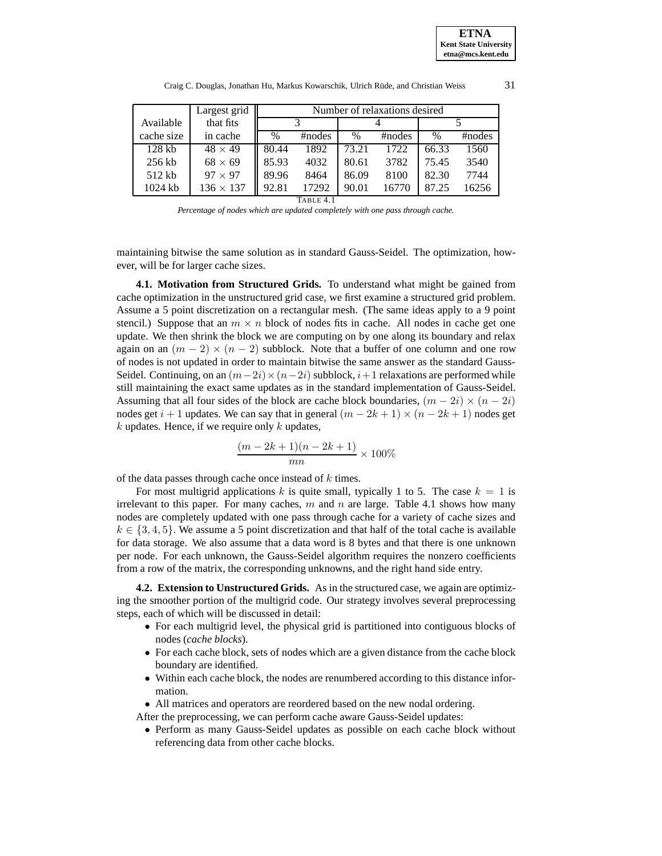|            | Largest grid     | Number of relaxations desired |        |       |        |       |        |
|------------|------------------|-------------------------------|--------|-------|--------|-------|--------|
| Available  | that fits        |                               |        |       |        |       |        |
| cache size | in cache         | $\%$                          | #nodes | $\%$  | #nodes | $\%$  | #nodes |
| $128$ kb   | $48 \times 49$   | 80.44                         | 1892   | 73.21 | 1722   | 66.33 | 1560   |
| $256$ kb   | $68 \times 69$   | 85.93                         | 4032   | 80.61 | 3782   | 75.45 | 3540   |
| 512 kb     | $97 \times 97$   | 89.96                         | 8464   | 86.09 | 8100   | 82.30 | 7744   |
| $1024$ kb  | $136 \times 137$ | 92.81                         | 17292  | 90.01 | 16770  | 87.25 | 16256  |
| TABLE 4.1  |                  |                               |        |       |        |       |        |

Craig C. Douglas, Jonathan Hu, Markus Kowarschik, Ulrich Rüde, and Christian Weiss 31

*Percentage of nodes which are updated completely with one pass through cache.*

maintaining bitwise the same solution as in standard Gauss-Seidel. The optimization, however, will be for larger cache sizes.

**4.1. Motivation from Structured Grids.** To understand what might be gained from cache optimization in the unstructured grid case, we first examine a structured grid problem. Assume a 5 point discretization on a rectangular mesh. (The same ideas apply to a 9 point stencil.) Suppose that an  $m \times n$  block of nodes fits in cache. All nodes in cache get one update. We then shrink the block we are computing on by one along its boundary and relax again on an  $(m - 2) \times (n - 2)$  subblock. Note that a buffer of one column and one row of nodes is not updated in order to maintain bitwise the same answer as the standard Gauss-Seidel. Continuing, on an  $(m-2i)\times(n-2i)$  subblock,  $i+1$  relaxations are performed while still maintaining the exact same updates as in the standard implementation of Gauss-Seidel. Assuming that all four sides of the block are cache block boundaries,  $(m - 2i) \times (n - 2i)$ nodes get  $i + 1$  updates. We can say that in general  $(m - 2k + 1) \times (n - 2k + 1)$  nodes get  $k$  updates. Hence, if we require only  $k$  updates,

$$
\frac{(m-2k+1)(n-2k+1)}{mn} \times 100\%
$$

of the data passes through cache once instead of k times.

For most multigrid applications k is quite small, typically 1 to 5. The case  $k = 1$  is irrelevant to this paper. For many caches,  $m$  and  $n$  are large. Table 4.1 shows how many nodes are completely updated with one pass through cache for a variety of cache sizes and  $k \in \{3, 4, 5\}$ . We assume a 5 point discretization and that half of the total cache is available for data storage. We also assume that a data word is 8 bytes and that there is one unknown per node. For each unknown, the Gauss-Seidel algorithm requires the nonzero coefficients from a row of the matrix, the corresponding unknowns, and the right hand side entry.

**4.2. Extension to Unstructured Grids.** As in the structured case, we again are optimizing the smoother portion of the multigrid code. Our strategy involves several preprocessing steps, each of which will be discussed in detail:

- For each multigrid level, the physical grid is partitioned into contiguous blocks of nodes (*cache blocks*).
- For each cache block, sets of nodes which are a given distance from the cache block boundary are identified.
- Within each cache block, the nodes are renumbered according to this distance information.
- All matrices and operators are reordered based on the new nodal ordering.

After the preprocessing, we can perform cache aware Gauss-Seidel updates:

• Perform as many Gauss-Seidel updates as possible on each cache block without referencing data from other cache blocks.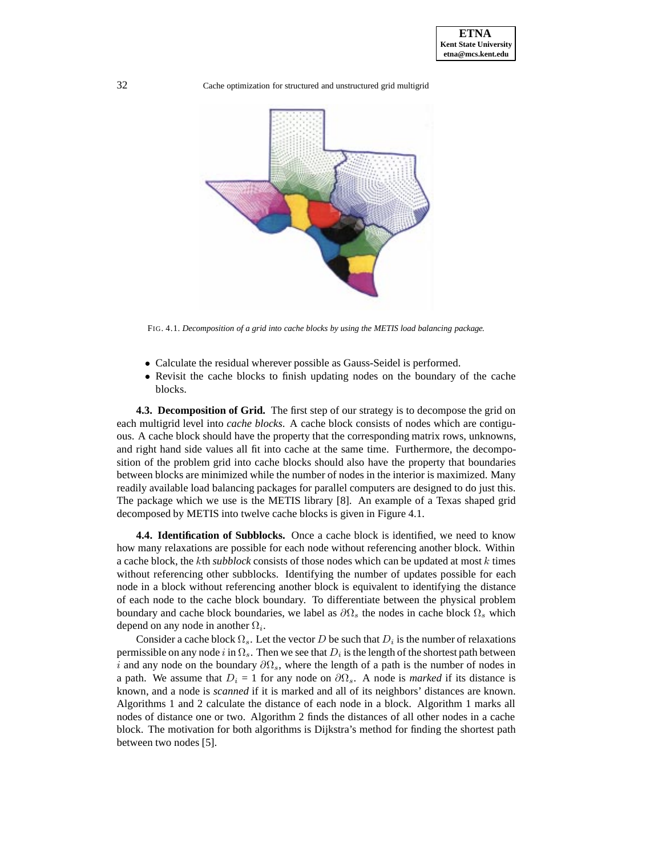

FIG. 4.1. *Decomposition of a grid into cache blocks by using the METIS load balancing package.*

- Calculate the residual wherever possible as Gauss-Seidel is performed.
- Revisit the cache blocks to finish updating nodes on the boundary of the cache blocks.

**4.3. Decomposition of Grid.** The first step of our strategy is to decompose the grid on each multigrid level into *cache blocks*. A cache block consists of nodes which are contiguous. A cache block should have the property that the corresponding matrix rows, unknowns, and right hand side values all fit into cache at the same time. Furthermore, the decomposition of the problem grid into cache blocks should also have the property that boundaries between blocks are minimized while the number of nodes in the interior is maximized. Many readily available load balancing packages for parallel computers are designed to do just this. The package which we use is the METIS library [8]. An example of a Texas shaped grid decomposed by METIS into twelve cache blocks is given in Figure 4.1.

**4.4. Identification of Subblocks.** Once a cache block is identified, we need to know how many relaxations are possible for each node without referencing another block. Within a cache block, the kth *subblock* consists of those nodes which can be updated at most k times without referencing other subblocks. Identifying the number of updates possible for each node in a block without referencing another block is equivalent to identifying the distance of each node to the cache block boundary. To differentiate between the physical problem boundary and cache block boundaries, we label as  $\partial\Omega_s$  the nodes in cache block  $\Omega_s$  which depend on any node in another  $\Omega_i$ .

Consider a cache block  $\Omega_s$ . Let the vector D be such that  $D_i$  is the number of relaxations permissible on any node i in  $\Omega_s$ . Then we see that  $D_i$  is the length of the shortest path between i and any node on the boundary  $\partial\Omega_s$ , where the length of a path is the number of nodes in a path. We assume that  $D_i = 1$  for any node on  $\partial\Omega_s$ . A node is *marked* if its distance is known, and a node is *scanned* if it is marked and all of its neighbors' distances are known. Algorithms 1 and 2 calculate the distance of each node in a block. Algorithm 1 marks all nodes of distance one or two. Algorithm 2 finds the distances of all other nodes in a cache block. The motivation for both algorithms is Dijkstra's method for finding the shortest path between two nodes [5].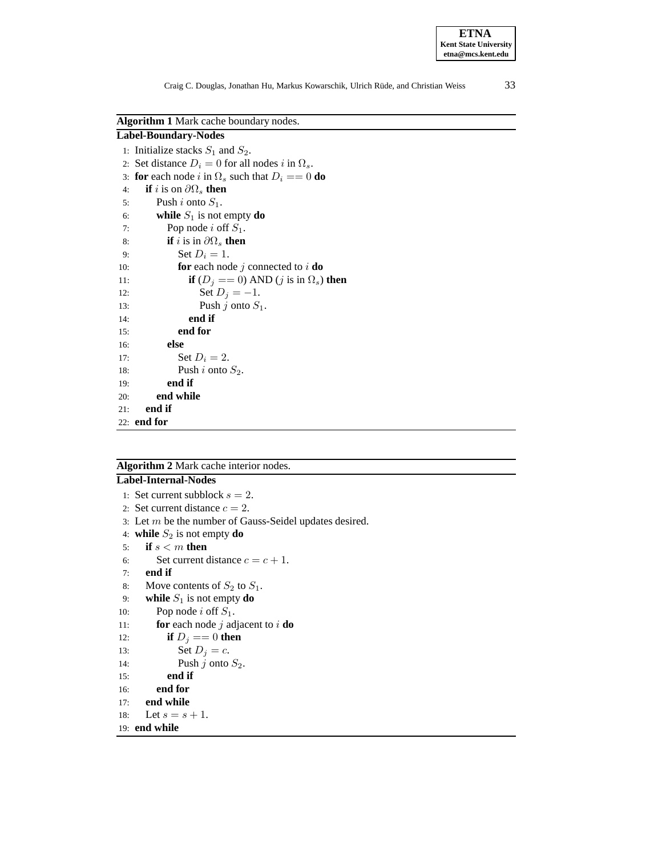**ETNA Kent State University etna@mcs.kent.edu**

**Algorithm 1** Mark cache boundary nodes.

| <b>Label-Boundary-Nodes</b>                                    |
|----------------------------------------------------------------|
| 1: Initialize stacks $S_1$ and $S_2$ .                         |
| 2: Set distance $D_i = 0$ for all nodes i in $\Omega_s$ .      |
| 3: for each node i in $\Omega_s$ such that $D_i == 0$ do       |
| <b>if</b> i is on $\partial\Omega_s$ then<br>4:                |
| Push i onto $S_1$ .<br>5:                                      |
| while $S_1$ is not empty do<br>6:                              |
| Pop node i off $S_1$ .<br>7:                                   |
| <b>if</b> i is in $\partial\Omega_s$ then<br>8:                |
| Set $D_i=1$ .<br>9:                                            |
| <b>for</b> each node j connected to i <b>do</b><br>10:         |
| <b>if</b> $(D_i == 0)$ AND $(j$ is in $\Omega_s$ ) then<br>11: |
| Set $D_i = -1$ .<br>12:                                        |
| Push $j$ onto $S_1$ .<br>13:                                   |
| end if<br>14:                                                  |
| end for<br>15:                                                 |
| else<br>16:                                                    |
| Set $D_i=2$ .<br>17:                                           |
| Push i onto $S_2$ .<br>18:                                     |
| end if<br>19:                                                  |
| end while<br>20:                                               |
| end if<br>21:                                                  |
| $22:$ end for                                                  |

### **Algorithm 2** Mark cache interior nodes.

# **Label-Internal-Nodes**

```
1: Set current subblock s = 2.
2: Set current distance c = 2.
3: Let m be the number of Gauss-Seidel updates desired.
4: while S_2 is not empty do
5: if s < m then
6: Set current distance c = c + 1.
7: end if
8: Move contents of S_2 to S_1.
9: while S_1 is not empty do
10: Pop node i off S_1.
11: for each node j adjacent to i do
12: if D_i == 0 then
13: Set D_j = c.
14: Push j onto S_2.
15: end if
16: end for
17: end while
18: Let s = s + 1.
19: end while
```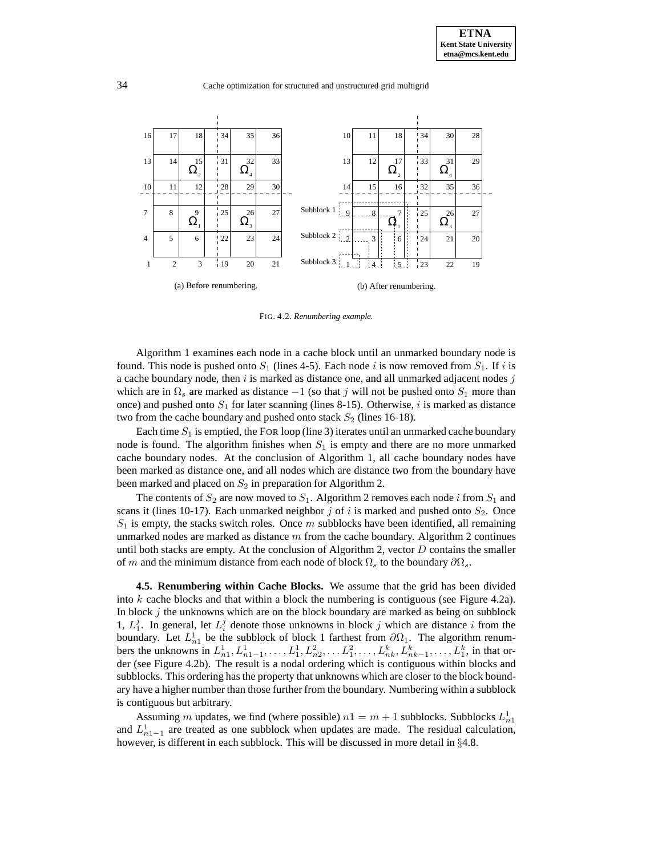

FIG. 4.2. *Renumbering example.*

Algorithm 1 examines each node in a cache block until an unmarked boundary node is found. This node is pushed onto  $S_1$  (lines 4-5). Each node i is now removed from  $S_1$ . If i is a cache boundary node, then  $i$  is marked as distance one, and all unmarked adjacent nodes  $j$ which are in  $\Omega_s$  are marked as distance  $-1$  (so that j will not be pushed onto  $S_1$  more than once) and pushed onto  $S_1$  for later scanning (lines 8-15). Otherwise, i is marked as distance two from the cache boundary and pushed onto stack  $S_2$  (lines 16-18).

Each time  $S_1$  is emptied, the FOR loop (line 3) iterates until an unmarked cache boundary node is found. The algorithm finishes when  $S_1$  is empty and there are no more unmarked cache boundary nodes. At the conclusion of Algorithm 1, all cache boundary nodes have been marked as distance one, and all nodes which are distance two from the boundary have been marked and placed on  $S_2$  in preparation for Algorithm 2.

The contents of  $S_2$  are now moved to  $S_1$ . Algorithm 2 removes each node i from  $S_1$  and scans it (lines 10-17). Each unmarked neighbor  $j$  of  $i$  is marked and pushed onto  $S_2$ . Once  $S_1$  is empty, the stacks switch roles. Once m subblocks have been identified, all remaining unmarked nodes are marked as distance  $m$  from the cache boundary. Algorithm 2 continues until both stacks are empty. At the conclusion of Algorithm 2, vector  $D$  contains the smaller of m and the minimum distance from each node of block  $\Omega_s$  to the boundary  $\partial\Omega_s$ .

**4.5. Renumbering within Cache Blocks.** We assume that the grid has been divided into  $k$  cache blocks and that within a block the numbering is contiguous (see Figure 4.2a). In block  $j$  the unknowns which are on the block boundary are marked as being on subblock 1,  $L_1^j$ . In general, let  $L_i^j$  denote those unknowns in block j which are distance i from the boundary. Let  $L_{n_1}^1$  be the subblock of block 1 farthest from  $\partial\Omega_1$ . The algorithm renumbers the unknowns in  $L_{n_1}^1, L_{n_1-1}^1, \ldots, L_1^1, L_{n_2}^2, \ldots, L_1^2, \ldots, L_{nk}^k, L_{nk-1}^k, \ldots, L_1^k$ , in that order (see Figure 4.2b). The result is a nodal ordering which is contiguous within blocks and subblocks. This ordering has the property that unknowns which are closer to the block boundary have a higher number than those further from the boundary. Numbering within a subblock is contiguous but arbitrary.

Assuming m updates, we find (where possible)  $n1 = m + 1$  subblocks. Subblocks  $L_{n1}^1$ and  $L_{n_1-1}^1$  are treated as one subblock when updates are made. The residual calculation, however, is different in each subblock. This will be discussed in more detail in §4.8.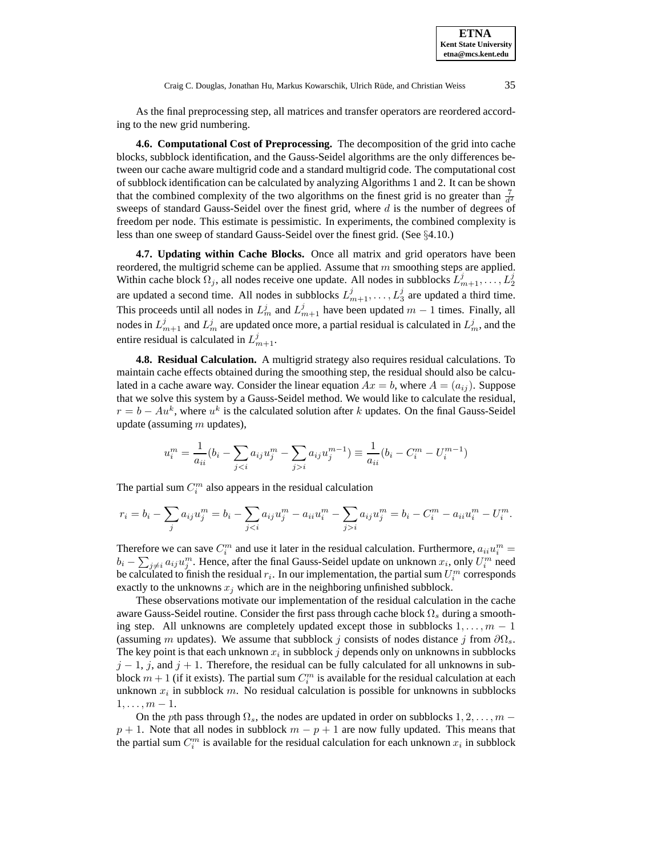Craig C. Douglas, Jonathan Hu, Markus Kowarschik, Ulrich Rüde, and Christian Weiss 35

As the final preprocessing step, all matrices and transfer operators are reordered according to the new grid numbering.

**4.6. Computational Cost of Preprocessing.** The decomposition of the grid into cache blocks, subblock identification, and the Gauss-Seidel algorithms are the only differences between our cache aware multigrid code and a standard multigrid code. The computational cost of subblock identification can be calculated by analyzing Algorithms 1 and 2. It can be shown that the combined complexity of the two algorithms on the finest grid is no greater than  $\frac{7}{d^2}$ sweeps of standard Gauss-Seidel over the finest grid, where  $d$  is the number of degrees of freedom per node. This estimate is pessimistic. In experiments, the combined complexity is less than one sweep of standard Gauss-Seidel over the finest grid. (See §4.10.)

**4.7. Updating within Cache Blocks.** Once all matrix and grid operators have been reordered, the multigrid scheme can be applied. Assume that  $m$  smoothing steps are applied. Within cache block  $\Omega_j$ , all nodes receive one update. All nodes in subblocks  $L_{m+1}^j, \ldots, L_2^j$ are updated a second time. All nodes in subblocks  $L_{m+1}^j, \ldots, L_3^j$  are updated a third time. This proceeds until all nodes in  $L_m^j$  and  $L_{m+1}^j$  have been updated  $m-1$  times. Finally, all nodes in  $L_{m+1}^j$  and  $L_m^j$  are updated once more, a partial residual is calculated in  $L_m^j$ , and the entire residual is calculated in  $L_{m+1}^j$ .

**4.8. Residual Calculation.** A multigrid strategy also requires residual calculations. To maintain cache effects obtained during the smoothing step, the residual should also be calculated in a cache aware way. Consider the linear equation  $Ax = b$ , where  $A = (a_{ij})$ . Suppose that we solve this system by a Gauss-Seidel method. We would like to calculate the residual,  $r = b - Au<sup>k</sup>$ , where  $u<sup>k</sup>$  is the calculated solution after k updates. On the final Gauss-Seidel update (assuming  $m$  updates),

$$
u_i^m = \frac{1}{a_{ii}}(b_i - \sum_{j < i} a_{ij}u_j^m - \sum_{j > i} a_{ij}u_j^{m-1}) \equiv \frac{1}{a_{ii}}(b_i - C_i^m - U_i^{m-1})
$$

The partial sum  $C_i^m$  also appears in the residual calculation

$$
r_i = b_i - \sum_j a_{ij} u_j^m = b_i - \sum_{j < i} a_{ij} u_j^m - a_{ii} u_i^m - \sum_{j > i} a_{ij} u_j^m = b_i - C_i^m - a_{ii} u_i^m - U_i^m.
$$

Therefore we can save  $C_i^m$  and use it later in the residual calculation. Furthermore,  $a_{ii}u_i^m =$  $b_i - \sum_{j \neq i} a_{ij} u_j^m$ . Hence, after the final Gauss-Seidel update on unknown  $x_i$ , only  $U_i^m$  need be calculated to finish the residual  $r_i$ . In our implementation, the partial sum  $U_i^m$  corresponds exactly to the unknowns  $x_j$  which are in the neighboring unfinished subblock.

These observations motivate our implementation of the residual calculation in the cache aware Gauss-Seidel routine. Consider the first pass through cache block  $\Omega_s$  during a smoothing step. All unknowns are completely updated except those in subblocks  $1, \ldots, m - 1$ (assuming m updates). We assume that subblock j consists of nodes distance j from  $\partial\Omega_s$ . The key point is that each unknown  $x_i$  in subblock j depends only on unknowns in subblocks  $j - 1$ , j, and  $j + 1$ . Therefore, the residual can be fully calculated for all unknowns in subblock  $m+1$  (if it exists). The partial sum  $C_i^m$  is available for the residual calculation at each unknown  $x_i$  in subblock m. No residual calculation is possible for unknowns in subblocks  $1,\ldots,m-1$ .

On the pth pass through  $\Omega_s$ , the nodes are updated in order on subblocks  $1, 2, \ldots, m$  −  $p + 1$ . Note that all nodes in subblock  $m - p + 1$  are now fully updated. This means that the partial sum  $C_i^m$  is available for the residual calculation for each unknown  $x_i$  in subblock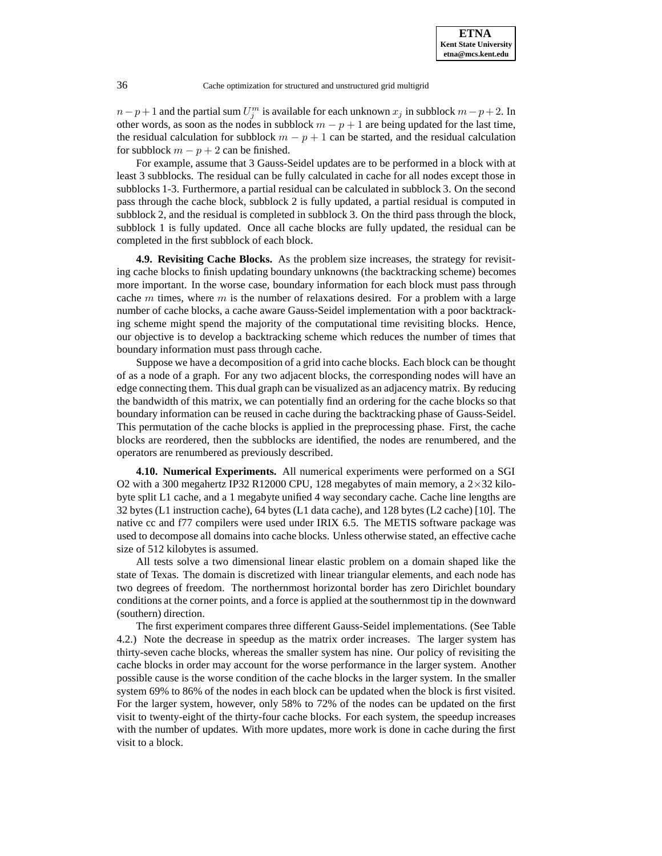$n-p+1$  and the partial sum  $U_j^m$  is available for each unknown  $x_j$  in subblock  $m-p+2$ . In other words, as soon as the nodes in subblock  $m - p + 1$  are being updated for the last time, the residual calculation for subblock  $m - p + 1$  can be started, and the residual calculation for subblock  $m - p + 2$  can be finished.

For example, assume that 3 Gauss-Seidel updates are to be performed in a block with at least 3 subblocks. The residual can be fully calculated in cache for all nodes except those in subblocks 1-3. Furthermore, a partial residual can be calculated in subblock 3. On the second pass through the cache block, subblock 2 is fully updated, a partial residual is computed in subblock 2, and the residual is completed in subblock 3. On the third pass through the block, subblock 1 is fully updated. Once all cache blocks are fully updated, the residual can be completed in the first subblock of each block.

**4.9. Revisiting Cache Blocks.** As the problem size increases, the strategy for revisiting cache blocks to finish updating boundary unknowns (the backtracking scheme) becomes more important. In the worse case, boundary information for each block must pass through cache m times, where m is the number of relaxations desired. For a problem with a large number of cache blocks, a cache aware Gauss-Seidel implementation with a poor backtracking scheme might spend the majority of the computational time revisiting blocks. Hence, our objective is to develop a backtracking scheme which reduces the number of times that boundary information must pass through cache.

Suppose we have a decomposition of a grid into cache blocks. Each block can be thought of as a node of a graph. For any two adjacent blocks, the corresponding nodes will have an edge connecting them. This dual graph can be visualized as an adjacency matrix. By reducing the bandwidth of this matrix, we can potentially find an ordering for the cache blocks so that boundary information can be reused in cache during the backtracking phase of Gauss-Seidel. This permutation of the cache blocks is applied in the preprocessing phase. First, the cache blocks are reordered, then the subblocks are identified, the nodes are renumbered, and the operators are renumbered as previously described.

**4.10. Numerical Experiments.** All numerical experiments were performed on a SGI O2 with a 300 megahertz IP32 R12000 CPU, 128 megabytes of main memory, a  $2\times32$  kilobyte split L1 cache, and a 1 megabyte unified 4 way secondary cache. Cache line lengths are 32 bytes (L1 instruction cache), 64 bytes (L1 data cache), and 128 bytes (L2 cache) [10]. The native cc and f77 compilers were used under IRIX 6.5. The METIS software package was used to decompose all domains into cache blocks. Unless otherwise stated, an effective cache size of 512 kilobytes is assumed.

All tests solve a two dimensional linear elastic problem on a domain shaped like the state of Texas. The domain is discretized with linear triangular elements, and each node has two degrees of freedom. The northernmost horizontal border has zero Dirichlet boundary conditions at the corner points, and a force is applied at the southernmost tip in the downward (southern) direction.

The first experiment compares three different Gauss-Seidel implementations. (See Table 4.2.) Note the decrease in speedup as the matrix order increases. The larger system has thirty-seven cache blocks, whereas the smaller system has nine. Our policy of revisiting the cache blocks in order may account for the worse performance in the larger system. Another possible cause is the worse condition of the cache blocks in the larger system. In the smaller system 69% to 86% of the nodes in each block can be updated when the block is first visited. For the larger system, however, only 58% to 72% of the nodes can be updated on the first visit to twenty-eight of the thirty-four cache blocks. For each system, the speedup increases with the number of updates. With more updates, more work is done in cache during the first visit to a block.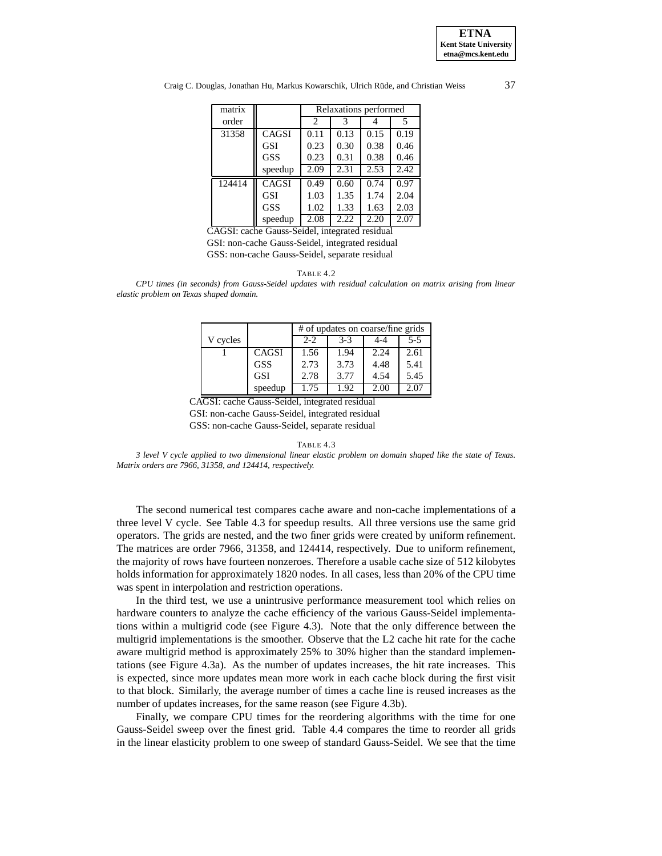

Craig C. Douglas, Jonathan Hu, Markus Kowarschik, Ulrich Rüde, and Christian Weiss 37

| matrix | Relaxations performed |                             |      |      |      |
|--------|-----------------------|-----------------------------|------|------|------|
| order  |                       | $\mathcal{D}_{\mathcal{L}}$ | 3    |      | 5    |
| 31358  | CAGSI                 | 0.11                        | 0.13 | 0.15 | 0.19 |
|        | GSI                   | 0.23                        | 0.30 | 0.38 | 0.46 |
|        | GSS                   | 0.23                        | 0.31 | 0.38 | 0.46 |
|        | speedup               | 2.09                        | 2.31 | 2.53 | 2.42 |
| 124414 | CAGSI                 | 0.49                        | 0.60 | 0.74 | 0.97 |
|        | GSI                   | 1.03                        | 1.35 | 1.74 | 2.04 |
|        | GSS                   | 1.02                        | 1.33 | 1.63 | 2.03 |
|        | speedup               | 2.08                        | 2.22 | 2.20 | 2.07 |

CAGSI: cache Gauss-Seidel, integrated residual GSI: non-cache Gauss-Seidel, integrated residual GSS: non-cache Gauss-Seidel, separate residual

TABLE 4.2

*CPU times (in seconds) from Gauss-Seidel updates with residual calculation on matrix arising from linear elastic problem on Texas shaped domain.*

|          |            | # of updates on coarse/fine grids |       |      |         |
|----------|------------|-----------------------------------|-------|------|---------|
| V cycles |            | $2 - 2$                           | $3-3$ | 4-4  | $5 - 5$ |
|          | CAGSI      | 1.56                              | 1.94  | 2.24 | 2.61    |
|          | <b>GSS</b> | 2.73                              | 3.73  | 4.48 | 5.41    |
|          | <b>GSI</b> | 2.78                              | 3.77  | 4.54 | 5.45    |
|          | speedup    | 1.75                              | 1.92  | 2.00 | 2.07    |

CAGSI: cache Gauss-Seidel, integrated residual GSI: non-cache Gauss-Seidel, integrated residual GSS: non-cache Gauss-Seidel, separate residual

TABLE 4.3

*3 level V cycle applied to two dimensional linear elastic problem on domain shaped like the state of Texas. Matrix orders are 7966, 31358, and 124414, respectively.*

The second numerical test compares cache aware and non-cache implementations of a three level V cycle. See Table 4.3 for speedup results. All three versions use the same grid operators. The grids are nested, and the two finer grids were created by uniform refinement. The matrices are order 7966, 31358, and 124414, respectively. Due to uniform refinement, the majority of rows have fourteen nonzeroes. Therefore a usable cache size of 512 kilobytes holds information for approximately 1820 nodes. In all cases, less than 20% of the CPU time was spent in interpolation and restriction operations.

In the third test, we use a unintrusive performance measurement tool which relies on hardware counters to analyze the cache efficiency of the various Gauss-Seidel implementations within a multigrid code (see Figure 4.3). Note that the only difference between the multigrid implementations is the smoother. Observe that the L2 cache hit rate for the cache aware multigrid method is approximately 25% to 30% higher than the standard implementations (see Figure 4.3a). As the number of updates increases, the hit rate increases. This is expected, since more updates mean more work in each cache block during the first visit to that block. Similarly, the average number of times a cache line is reused increases as the number of updates increases, for the same reason (see Figure 4.3b).

Finally, we compare CPU times for the reordering algorithms with the time for one Gauss-Seidel sweep over the finest grid. Table 4.4 compares the time to reorder all grids in the linear elasticity problem to one sweep of standard Gauss-Seidel. We see that the time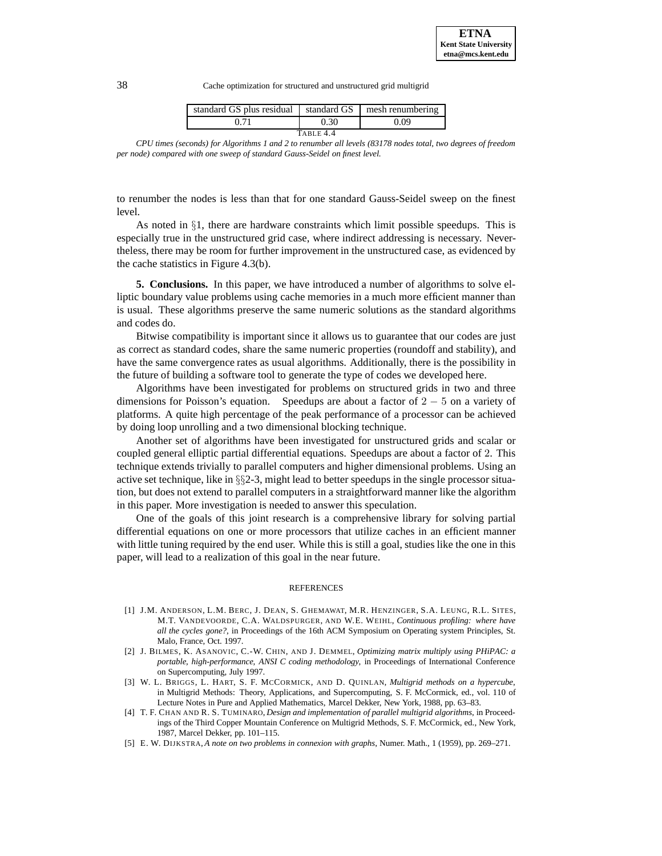| standard GS plus residual standard GS |      | mesh renumbering |  |  |  |
|---------------------------------------|------|------------------|--|--|--|
|                                       | 0.30 | 0.09             |  |  |  |
| TABLE 4.4                             |      |                  |  |  |  |

*CPU times (seconds) for Algorithms 1 and 2 to renumber all levels (83178 nodes total, two degrees of freedom per node) compared with one sweep of standard Gauss-Seidel on finest level.*

to renumber the nodes is less than that for one standard Gauss-Seidel sweep on the finest level.

As noted in  $\S1$ , there are hardware constraints which limit possible speedups. This is especially true in the unstructured grid case, where indirect addressing is necessary. Nevertheless, there may be room for further improvement in the unstructured case, as evidenced by the cache statistics in Figure 4.3(b).

**5. Conclusions.** In this paper, we have introduced a number of algorithms to solve elliptic boundary value problems using cache memories in a much more efficient manner than is usual. These algorithms preserve the same numeric solutions as the standard algorithms and codes do.

Bitwise compatibility is important since it allows us to guarantee that our codes are just as correct as standard codes, share the same numeric properties (roundoff and stability), and have the same convergence rates as usual algorithms. Additionally, there is the possibility in the future of building a software tool to generate the type of codes we developed here.

Algorithms have been investigated for problems on structured grids in two and three dimensions for Poisson's equation. Speedups are about a factor of  $2 - 5$  on a variety of platforms. A quite high percentage of the peak performance of a processor can be achieved by doing loop unrolling and a two dimensional blocking technique.

Another set of algorithms have been investigated for unstructured grids and scalar or coupled general elliptic partial differential equations. Speedups are about a factor of 2. This technique extends trivially to parallel computers and higher dimensional problems. Using an active set technique, like in §§2-3, might lead to better speedups in the single processor situation, but does not extend to parallel computers in a straightforward manner like the algorithm in this paper. More investigation is needed to answer this speculation.

One of the goals of this joint research is a comprehensive library for solving partial differential equations on one or more processors that utilize caches in an efficient manner with little tuning required by the end user. While this is still a goal, studies like the one in this paper, will lead to a realization of this goal in the near future.

#### REFERENCES

- [1] J.M. ANDERSON, L.M. BERC, J. DEAN, S. GHEMAWAT, M.R. HENZINGER, S.A. LEUNG, R.L. SITES, M.T. VANDEVOORDE, C.A. WALDSPURGER, AND W.E. WEIHL, *Continuous profiling: where have all the cycles gone?*, in Proceedings of the 16th ACM Symposium on Operating system Principles, St. Malo, France, Oct. 1997.
- [2] J. BILMES, K. ASANOVIC, C.-W. CHIN, AND J. DEMMEL, *Optimizing matrix multiply using PHiPAC: a portable, high-performance, ANSI C coding methodology*, in Proceedings of International Conference on Supercomputing, July 1997.
- [3] W. L. BRIGGS, L. HART, S. F. MCCORMICK, AND D. QUINLAN, *Multigrid methods on a hypercube*, in Multigrid Methods: Theory, Applications, and Supercomputing, S. F. McCormick, ed., vol. 110 of Lecture Notes in Pure and Applied Mathematics, Marcel Dekker, New York, 1988, pp. 63–83.
- [4] T. F. CHAN AND R. S. TUMINARO, *Design and implementation of parallel multigrid algorithms*, in Proceedings of the Third Copper Mountain Conference on Multigrid Methods, S. F. McCormick, ed., New York, 1987, Marcel Dekker, pp. 101–115.
- [5] E. W. DIJKSTRA, *A note on two problems in connexion with graphs*, Numer. Math., 1 (1959), pp. 269–271.

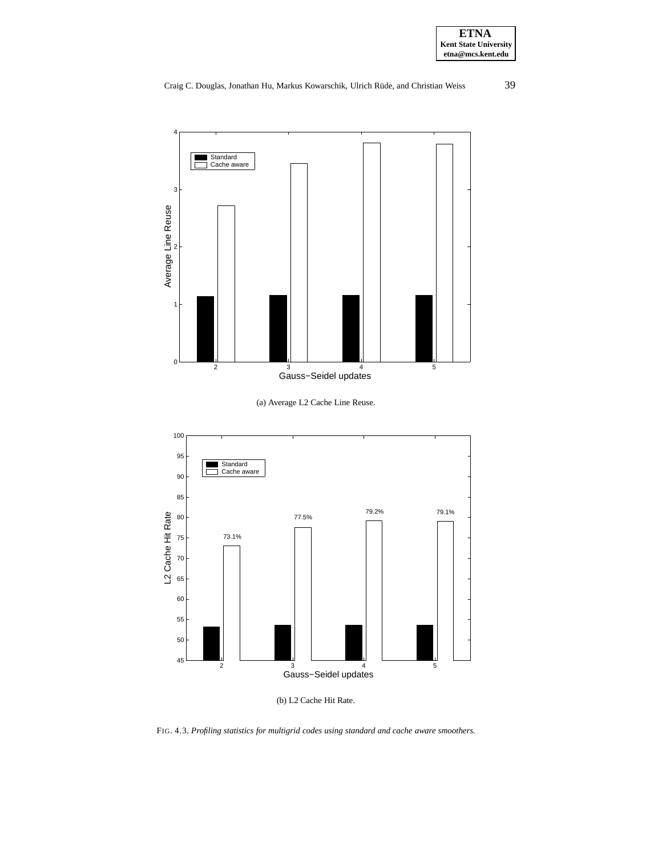

# Craig C. Douglas, Jonathan Hu, Markus Kowarschik, Ulrich Rüde, and Christian Weiss 39







(b) L2 Cache Hit Rate.

FIG. 4.3. *Profiling statistics for multigrid codes using standard and cache aware smoothers.*